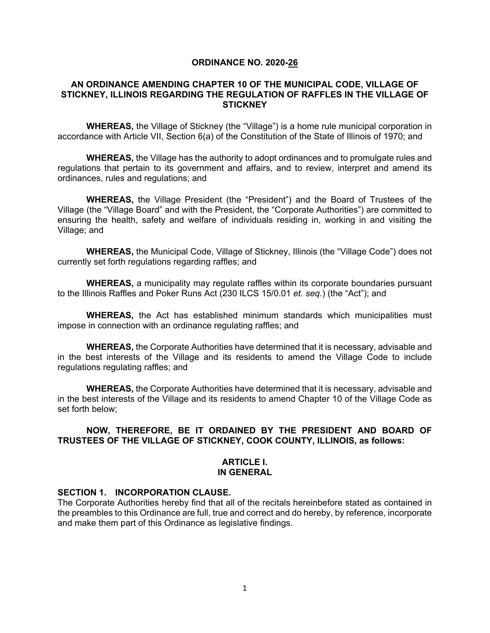### **ORDINANCE NO. 2020-26**

## **AN ORDINANCE AMENDING CHAPTER 10 OF THE MUNICIPAL CODE, VILLAGE OF STICKNEY, ILLINOIS REGARDING THE REGULATION OF RAFFLES IN THE VILLAGE OF STICKNEY**

**WHEREAS,** the Village of Stickney (the "Village") is a home rule municipal corporation in accordance with Article VII, Section 6(a) of the Constitution of the State of Illinois of 1970; and

**WHEREAS,** the Village has the authority to adopt ordinances and to promulgate rules and regulations that pertain to its government and affairs, and to review, interpret and amend its ordinances, rules and regulations; and

**WHEREAS,** the Village President (the "President") and the Board of Trustees of the Village (the "Village Board" and with the President, the "Corporate Authorities") are committed to ensuring the health, safety and welfare of individuals residing in, working in and visiting the Village; and

**WHEREAS,** the Municipal Code, Village of Stickney, Illinois (the "Village Code") does not currently set forth regulations regarding raffles; and

**WHEREAS,** a municipality may regulate raffles within its corporate boundaries pursuant to the Illinois Raffles and Poker Runs Act (230 ILCS 15/0.01 *et. seq.*) (the "Act"); and

**WHEREAS,** the Act has established minimum standards which municipalities must impose in connection with an ordinance regulating raffles; and

**WHEREAS,** the Corporate Authorities have determined that it is necessary, advisable and in the best interests of the Village and its residents to amend the Village Code to include regulations regulating raffles; and

**WHEREAS,** the Corporate Authorities have determined that it is necessary, advisable and in the best interests of the Village and its residents to amend Chapter 10 of the Village Code as set forth below;

## **NOW, THEREFORE, BE IT ORDAINED BY THE PRESIDENT AND BOARD OF TRUSTEES OF THE VILLAGE OF STICKNEY, COOK COUNTY, ILLINOIS, as follows:**

### **ARTICLE I. IN GENERAL**

## **SECTION 1. INCORPORATION CLAUSE.**

The Corporate Authorities hereby find that all of the recitals hereinbefore stated as contained in the preambles to this Ordinance are full, true and correct and do hereby, by reference, incorporate and make them part of this Ordinance as legislative findings.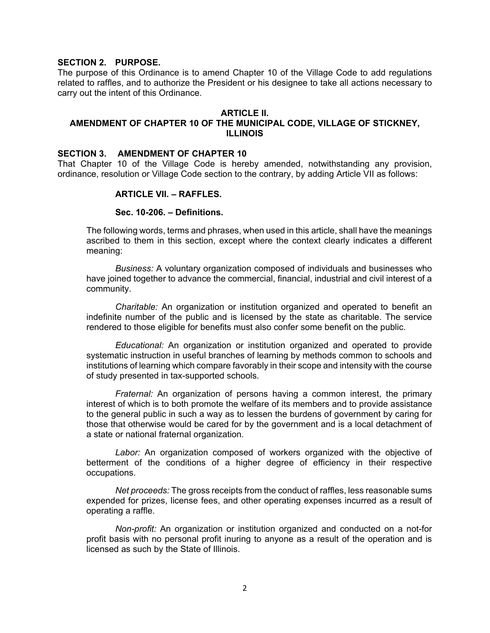## **SECTION 2. PURPOSE.**

The purpose of this Ordinance is to amend Chapter 10 of the Village Code to add regulations related to raffles, and to authorize the President or his designee to take all actions necessary to carry out the intent of this Ordinance.

### **ARTICLE II.**

# **AMENDMENT OF CHAPTER 10 OF THE MUNICIPAL CODE, VILLAGE OF STICKNEY, ILLINOIS**

### **SECTION 3. AMENDMENT OF CHAPTER 10**

That Chapter 10 of the Village Code is hereby amended, notwithstanding any provision, ordinance, resolution or Village Code section to the contrary, by adding Article VII as follows:

## **ARTICLE VII. – RAFFLES.**

### **Sec. 10-206. – Definitions.**

The following words, terms and phrases, when used in this article, shall have the meanings ascribed to them in this section, except where the context clearly indicates a different meaning:

*Business:* A voluntary organization composed of individuals and businesses who have joined together to advance the commercial, financial, industrial and civil interest of a community.

*Charitable:* An organization or institution organized and operated to benefit an indefinite number of the public and is licensed by the state as charitable. The service rendered to those eligible for benefits must also confer some benefit on the public.

*Educational:* An organization or institution organized and operated to provide systematic instruction in useful branches of learning by methods common to schools and institutions of learning which compare favorably in their scope and intensity with the course of study presented in tax-supported schools.

*Fraternal:* An organization of persons having a common interest, the primary interest of which is to both promote the welfare of its members and to provide assistance to the general public in such a way as to lessen the burdens of government by caring for those that otherwise would be cared for by the government and is a local detachment of a state or national fraternal organization.

*Labor:* An organization composed of workers organized with the objective of betterment of the conditions of a higher degree of efficiency in their respective occupations.

*Net proceeds:* The gross receipts from the conduct of raffles, less reasonable sums expended for prizes, license fees, and other operating expenses incurred as a result of operating a raffle.

*Non-profit:* An organization or institution organized and conducted on a not-for profit basis with no personal profit inuring to anyone as a result of the operation and is licensed as such by the State of Illinois.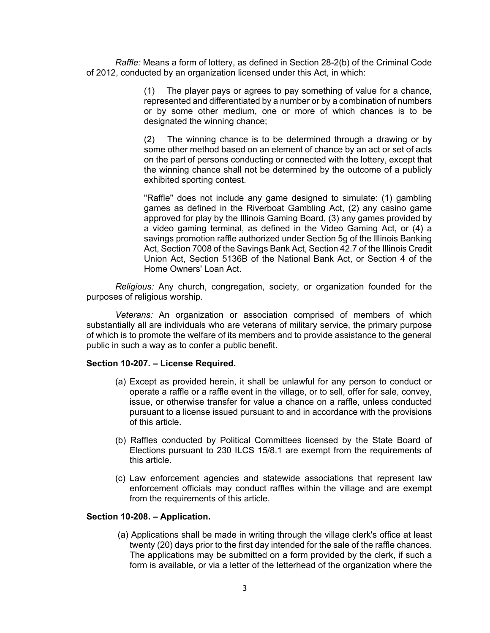*Raffle:* Means a form of lottery, as defined in Section 28-2(b) of the Criminal Code of 2012, conducted by an organization licensed under this Act, in which:

> (1) The player pays or agrees to pay something of value for a chance, represented and differentiated by a number or by a combination of numbers or by some other medium, one or more of which chances is to be designated the winning chance;

> (2) The winning chance is to be determined through a drawing or by some other method based on an element of chance by an act or set of acts on the part of persons conducting or connected with the lottery, except that the winning chance shall not be determined by the outcome of a publicly exhibited sporting contest.

> "Raffle" does not include any game designed to simulate: (1) gambling games as defined in the Riverboat Gambling Act, (2) any casino game approved for play by the Illinois Gaming Board, (3) any games provided by a video gaming terminal, as defined in the Video Gaming Act, or (4) a savings promotion raffle authorized under Section 5g of the Illinois Banking Act, Section 7008 of the Savings Bank Act, Section 42.7 of the Illinois Credit Union Act, Section 5136B of the National Bank Act, or Section 4 of the Home Owners' Loan Act.

*Religious:* Any church, congregation, society, or organization founded for the purposes of religious worship.

*Veterans:* An organization or association comprised of members of which substantially all are individuals who are veterans of military service, the primary purpose of which is to promote the welfare of its members and to provide assistance to the general public in such a way as to confer a public benefit.

### **Section 10-207. – License Required.**

- (a) Except as provided herein, it shall be unlawful for any person to conduct or operate a raffle or a raffle event in the village, or to sell, offer for sale, convey, issue, or otherwise transfer for value a chance on a raffle, unless conducted pursuant to a license issued pursuant to and in accordance with the provisions of this article.
- (b) Raffles conducted by Political Committees licensed by the State Board of Elections pursuant to 230 ILCS 15/8.1 are exempt from the requirements of this article.
- (c) Law enforcement agencies and statewide associations that represent law enforcement officials may conduct raffles within the village and are exempt from the requirements of this article.

## **Section 10-208. – Application.**

(a) Applications shall be made in writing through the village clerk's office at least twenty (20) days prior to the first day intended for the sale of the raffle chances. The applications may be submitted on a form provided by the clerk, if such a form is available, or via a letter of the letterhead of the organization where the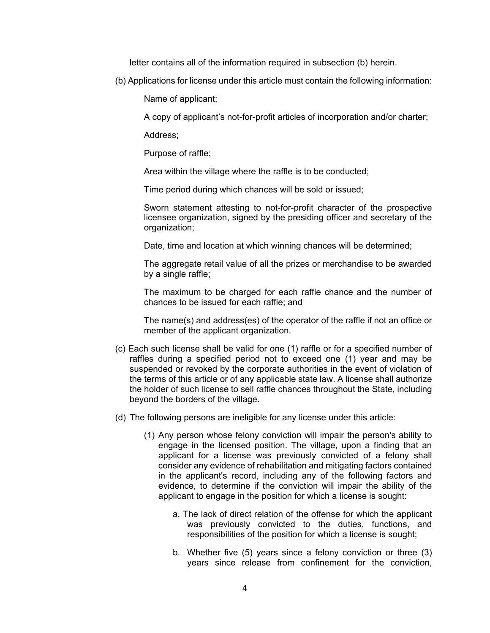letter contains all of the information required in subsection (b) herein.

(b) Applications for license under this article must contain the following information:

Name of applicant;

A copy of applicant's not-for-profit articles of incorporation and/or charter;

Address;

Purpose of raffle;

Area within the village where the raffle is to be conducted;

Time period during which chances will be sold or issued;

Sworn statement attesting to not-for-profit character of the prospective licensee organization, signed by the presiding officer and secretary of the organization;

Date, time and location at which winning chances will be determined;

The aggregate retail value of all the prizes or merchandise to be awarded by a single raffle;

The maximum to be charged for each raffle chance and the number of chances to be issued for each raffle; and

The name(s) and address(es) of the operator of the raffle if not an office or member of the applicant organization.

- (c) Each such license shall be valid for one (1) raffle or for a specified number of raffles during a specified period not to exceed one (1) year and may be suspended or revoked by the corporate authorities in the event of violation of the terms of this article or of any applicable state law. A license shall authorize the holder of such license to sell raffle chances throughout the State, including beyond the borders of the village.
- (d) The following persons are ineligible for any license under this article:
	- (1) Any person whose felony conviction will impair the person's ability to engage in the licensed position. The village, upon a finding that an applicant for a license was previously convicted of a felony shall consider any evidence of rehabilitation and mitigating factors contained in the applicant's record, including any of the following factors and evidence, to determine if the conviction will impair the ability of the applicant to engage in the position for which a license is sought:
		- a. The lack of direct relation of the offense for which the applicant was previously convicted to the duties, functions, and responsibilities of the position for which a license is sought;
		- b. Whether five (5) years since a felony conviction or three (3) years since release from confinement for the conviction,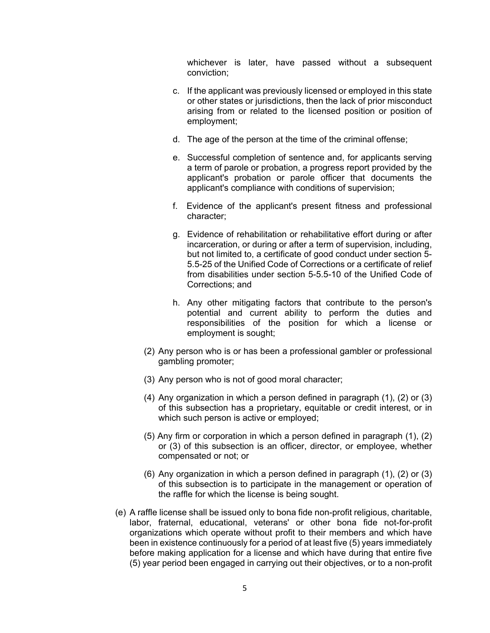whichever is later, have passed without a subsequent conviction;

- c. If the applicant was previously licensed or employed in this state or other states or jurisdictions, then the lack of prior misconduct arising from or related to the licensed position or position of employment;
- d. The age of the person at the time of the criminal offense;
- e. Successful completion of sentence and, for applicants serving a term of parole or probation, a progress report provided by the applicant's probation or parole officer that documents the applicant's compliance with conditions of supervision;
- f. Evidence of the applicant's present fitness and professional character;
- g. Evidence of rehabilitation or rehabilitative effort during or after incarceration, or during or after a term of supervision, including, but not limited to, a certificate of good conduct under section 5- 5.5-25 of the Unified Code of Corrections or a certificate of relief from disabilities under section 5-5.5-10 of the Unified Code of Corrections; and
- h. Any other mitigating factors that contribute to the person's potential and current ability to perform the duties and responsibilities of the position for which a license or employment is sought;
- (2) Any person who is or has been a professional gambler or professional gambling promoter;
- (3) Any person who is not of good moral character;
- (4) Any organization in which a person defined in paragraph (1), (2) or (3) of this subsection has a proprietary, equitable or credit interest, or in which such person is active or employed;
- (5) Any firm or corporation in which a person defined in paragraph (1), (2) or (3) of this subsection is an officer, director, or employee, whether compensated or not; or
- (6) Any organization in which a person defined in paragraph (1), (2) or (3) of this subsection is to participate in the management or operation of the raffle for which the license is being sought.
- (e) A raffle license shall be issued only to bona fide non-profit religious, charitable, labor, fraternal, educational, veterans' or other bona fide not-for-profit organizations which operate without profit to their members and which have been in existence continuously for a period of at least five (5) years immediately before making application for a license and which have during that entire five (5) year period been engaged in carrying out their objectives, or to a non-profit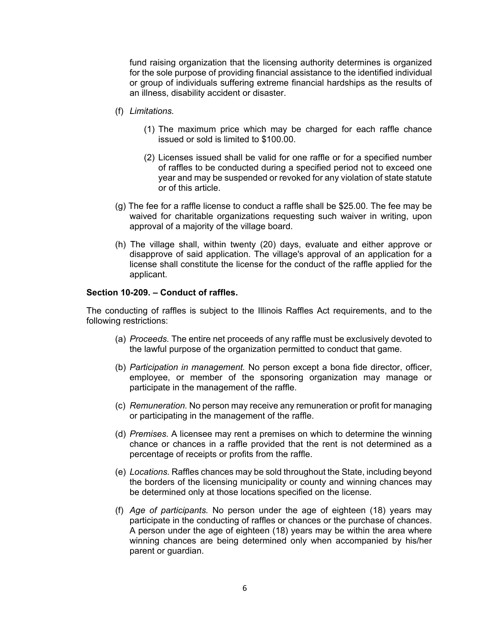fund raising organization that the licensing authority determines is organized for the sole purpose of providing financial assistance to the identified individual or group of individuals suffering extreme financial hardships as the results of an illness, disability accident or disaster.

- (f) *Limitations.*
	- (1) The maximum price which may be charged for each raffle chance issued or sold is limited to \$100.00.
	- (2) Licenses issued shall be valid for one raffle or for a specified number of raffles to be conducted during a specified period not to exceed one year and may be suspended or revoked for any violation of state statute or of this article.
- (g) The fee for a raffle license to conduct a raffle shall be \$25.00. The fee may be waived for charitable organizations requesting such waiver in writing, upon approval of a majority of the village board.
- (h) The village shall, within twenty (20) days, evaluate and either approve or disapprove of said application. The village's approval of an application for a license shall constitute the license for the conduct of the raffle applied for the applicant.

### **Section 10-209. – Conduct of raffles.**

The conducting of raffles is subject to the Illinois Raffles Act requirements, and to the following restrictions:

- (a) *Proceeds.* The entire net proceeds of any raffle must be exclusively devoted to the lawful purpose of the organization permitted to conduct that game.
- (b) *Participation in management.* No person except a bona fide director, officer, employee, or member of the sponsoring organization may manage or participate in the management of the raffle.
- (c) *Remuneration.* No person may receive any remuneration or profit for managing or participating in the management of the raffle.
- (d) *Premises.* A licensee may rent a premises on which to determine the winning chance or chances in a raffle provided that the rent is not determined as a percentage of receipts or profits from the raffle.
- (e) *Locations.* Raffles chances may be sold throughout the State, including beyond the borders of the licensing municipality or county and winning chances may be determined only at those locations specified on the license.
- (f) *Age of participants.* No person under the age of eighteen (18) years may participate in the conducting of raffles or chances or the purchase of chances. A person under the age of eighteen (18) years may be within the area where winning chances are being determined only when accompanied by his/her parent or guardian.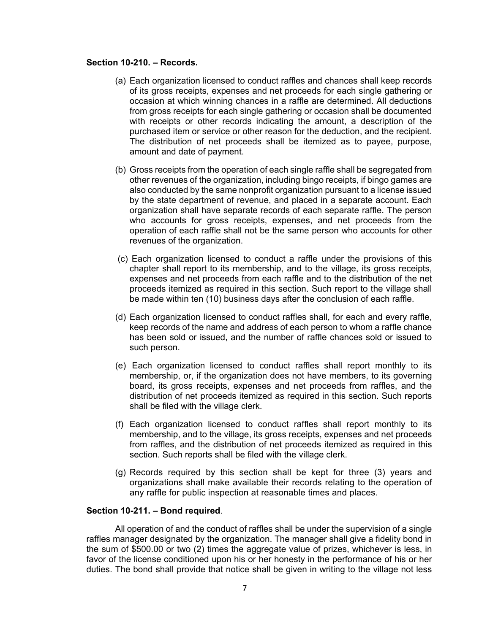# **Section 10-210. – Records.**

- (a) Each organization licensed to conduct raffles and chances shall keep records of its gross receipts, expenses and net proceeds for each single gathering or occasion at which winning chances in a raffle are determined. All deductions from gross receipts for each single gathering or occasion shall be documented with receipts or other records indicating the amount, a description of the purchased item or service or other reason for the deduction, and the recipient. The distribution of net proceeds shall be itemized as to payee, purpose, amount and date of payment.
- (b) Gross receipts from the operation of each single raffle shall be segregated from other revenues of the organization, including bingo receipts, if bingo games are also conducted by the same nonprofit organization pursuant to a license issued by the state department of revenue, and placed in a separate account. Each organization shall have separate records of each separate raffle. The person who accounts for gross receipts, expenses, and net proceeds from the operation of each raffle shall not be the same person who accounts for other revenues of the organization.
- (c) Each organization licensed to conduct a raffle under the provisions of this chapter shall report to its membership, and to the village, its gross receipts, expenses and net proceeds from each raffle and to the distribution of the net proceeds itemized as required in this section. Such report to the village shall be made within ten (10) business days after the conclusion of each raffle.
- (d) Each organization licensed to conduct raffles shall, for each and every raffle, keep records of the name and address of each person to whom a raffle chance has been sold or issued, and the number of raffle chances sold or issued to such person.
- (e) Each organization licensed to conduct raffles shall report monthly to its membership, or, if the organization does not have members, to its governing board, its gross receipts, expenses and net proceeds from raffles, and the distribution of net proceeds itemized as required in this section. Such reports shall be filed with the village clerk.
- (f) Each organization licensed to conduct raffles shall report monthly to its membership, and to the village, its gross receipts, expenses and net proceeds from raffles, and the distribution of net proceeds itemized as required in this section. Such reports shall be filed with the village clerk.
- (g) Records required by this section shall be kept for three (3) years and organizations shall make available their records relating to the operation of any raffle for public inspection at reasonable times and places.

### **Section 10-211. – Bond required**.

All operation of and the conduct of raffles shall be under the supervision of a single raffles manager designated by the organization. The manager shall give a fidelity bond in the sum of \$500.00 or two (2) times the aggregate value of prizes, whichever is less, in favor of the license conditioned upon his or her honesty in the performance of his or her duties. The bond shall provide that notice shall be given in writing to the village not less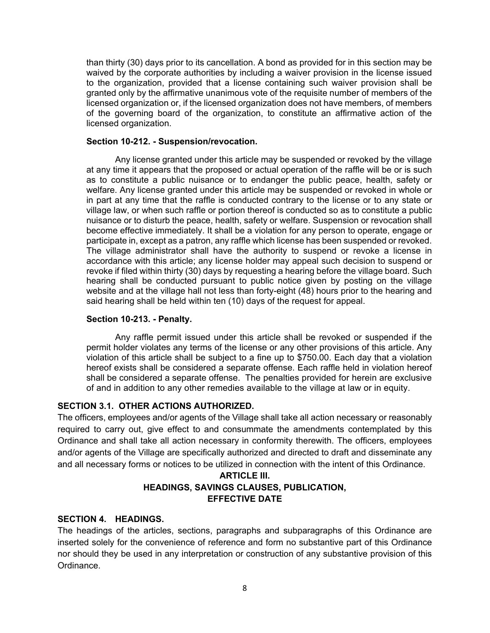than thirty (30) days prior to its cancellation. A bond as provided for in this section may be waived by the corporate authorities by including a waiver provision in the license issued to the organization, provided that a license containing such waiver provision shall be granted only by the affirmative unanimous vote of the requisite number of members of the licensed organization or, if the licensed organization does not have members, of members of the governing board of the organization, to constitute an affirmative action of the licensed organization.

## **Section 10-212. - Suspension/revocation.**

Any license granted under this article may be suspended or revoked by the village at any time it appears that the proposed or actual operation of the raffle will be or is such as to constitute a public nuisance or to endanger the public peace, health, safety or welfare. Any license granted under this article may be suspended or revoked in whole or in part at any time that the raffle is conducted contrary to the license or to any state or village law, or when such raffle or portion thereof is conducted so as to constitute a public nuisance or to disturb the peace, health, safety or welfare. Suspension or revocation shall become effective immediately. It shall be a violation for any person to operate, engage or participate in, except as a patron, any raffle which license has been suspended or revoked. The village administrator shall have the authority to suspend or revoke a license in accordance with this article; any license holder may appeal such decision to suspend or revoke if filed within thirty (30) days by requesting a hearing before the village board. Such hearing shall be conducted pursuant to public notice given by posting on the village website and at the village hall not less than forty-eight (48) hours prior to the hearing and said hearing shall be held within ten (10) days of the request for appeal.

## **Section 10-213. - Penalty.**

Any raffle permit issued under this article shall be revoked or suspended if the permit holder violates any terms of the license or any other provisions of this article. Any violation of this article shall be subject to a fine up to \$750.00. Each day that a violation hereof exists shall be considered a separate offense. Each raffle held in violation hereof shall be considered a separate offense. The penalties provided for herein are exclusive of and in addition to any other remedies available to the village at law or in equity.

# **SECTION 3.1. OTHER ACTIONS AUTHORIZED.**

The officers, employees and/or agents of the Village shall take all action necessary or reasonably required to carry out, give effect to and consummate the amendments contemplated by this Ordinance and shall take all action necessary in conformity therewith. The officers, employees and/or agents of the Village are specifically authorized and directed to draft and disseminate any and all necessary forms or notices to be utilized in connection with the intent of this Ordinance.

# **ARTICLE III. HEADINGS, SAVINGS CLAUSES, PUBLICATION, EFFECTIVE DATE**

# **SECTION 4. HEADINGS.**

The headings of the articles, sections, paragraphs and subparagraphs of this Ordinance are inserted solely for the convenience of reference and form no substantive part of this Ordinance nor should they be used in any interpretation or construction of any substantive provision of this Ordinance.